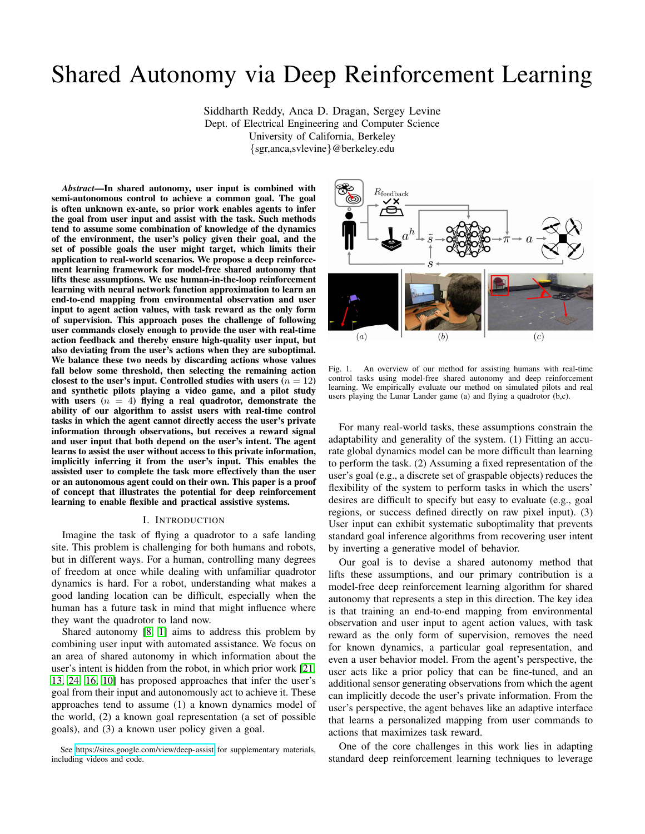# Shared Autonomy via Deep Reinforcement Learning

Siddharth Reddy, Anca D. Dragan, Sergey Levine Dept. of Electrical Engineering and Computer Science University of California, Berkeley {sgr,anca,svlevine}@berkeley.edu

*Abstract*—In shared autonomy, user input is combined with semi-autonomous control to achieve a common goal. The goal is often unknown ex-ante, so prior work enables agents to infer the goal from user input and assist with the task. Such methods tend to assume some combination of knowledge of the dynamics of the environment, the user's policy given their goal, and the set of possible goals the user might target, which limits their application to real-world scenarios. We propose a deep reinforcement learning framework for model-free shared autonomy that lifts these assumptions. We use human-in-the-loop reinforcement learning with neural network function approximation to learn an end-to-end mapping from environmental observation and user input to agent action values, with task reward as the only form of supervision. This approach poses the challenge of following user commands closely enough to provide the user with real-time action feedback and thereby ensure high-quality user input, but also deviating from the user's actions when they are suboptimal. We balance these two needs by discarding actions whose values fall below some threshold, then selecting the remaining action closest to the user's input. Controlled studies with users  $(n = 12)$ and synthetic pilots playing a video game, and a pilot study with users  $(n = 4)$  flying a real quadrotor, demonstrate the ability of our algorithm to assist users with real-time control tasks in which the agent cannot directly access the user's private information through observations, but receives a reward signal and user input that both depend on the user's intent. The agent learns to assist the user without access to this private information, implicitly inferring it from the user's input. This enables the assisted user to complete the task more effectively than the user or an autonomous agent could on their own. This paper is a proof of concept that illustrates the potential for deep reinforcement learning to enable flexible and practical assistive systems.

#### I. INTRODUCTION

Imagine the task of flying a quadrotor to a safe landing site. This problem is challenging for both humans and robots, but in different ways. For a human, controlling many degrees of freedom at once while dealing with unfamiliar quadrotor dynamics is hard. For a robot, understanding what makes a good landing location can be difficult, especially when the human has a future task in mind that might influence where they want the quadrotor to land now.

Shared autonomy [\[8,](#page-8-0) [1\]](#page-8-1) aims to address this problem by combining user input with automated assistance. We focus on an area of shared autonomy in which information about the user's intent is hidden from the robot, in which prior work [\[21,](#page-8-2) [13,](#page-8-3) [24,](#page-8-4) [16,](#page-8-5) [10\]](#page-8-6) has proposed approaches that infer the user's goal from their input and autonomously act to achieve it. These approaches tend to assume (1) a known dynamics model of the world, (2) a known goal representation (a set of possible goals), and (3) a known user policy given a goal.



<span id="page-0-0"></span>Fig. 1. An overview of our method for assisting humans with real-time control tasks using model-free shared autonomy and deep reinforcement learning. We empirically evaluate our method on simulated pilots and real users playing the Lunar Lander game (a) and flying a quadrotor (b,c).

For many real-world tasks, these assumptions constrain the adaptability and generality of the system. (1) Fitting an accurate global dynamics model can be more difficult than learning to perform the task. (2) Assuming a fixed representation of the user's goal (e.g., a discrete set of graspable objects) reduces the flexibility of the system to perform tasks in which the users' desires are difficult to specify but easy to evaluate (e.g., goal regions, or success defined directly on raw pixel input). (3) User input can exhibit systematic suboptimality that prevents standard goal inference algorithms from recovering user intent by inverting a generative model of behavior.

Our goal is to devise a shared autonomy method that lifts these assumptions, and our primary contribution is a model-free deep reinforcement learning algorithm for shared autonomy that represents a step in this direction. The key idea is that training an end-to-end mapping from environmental observation and user input to agent action values, with task reward as the only form of supervision, removes the need for known dynamics, a particular goal representation, and even a user behavior model. From the agent's perspective, the user acts like a prior policy that can be fine-tuned, and an additional sensor generating observations from which the agent can implicitly decode the user's private information. From the user's perspective, the agent behaves like an adaptive interface that learns a personalized mapping from user commands to actions that maximizes task reward.

One of the core challenges in this work lies in adapting standard deep reinforcement learning techniques to leverage

See<https://sites.google.com/view/deep-assist> for supplementary materials, including videos and code.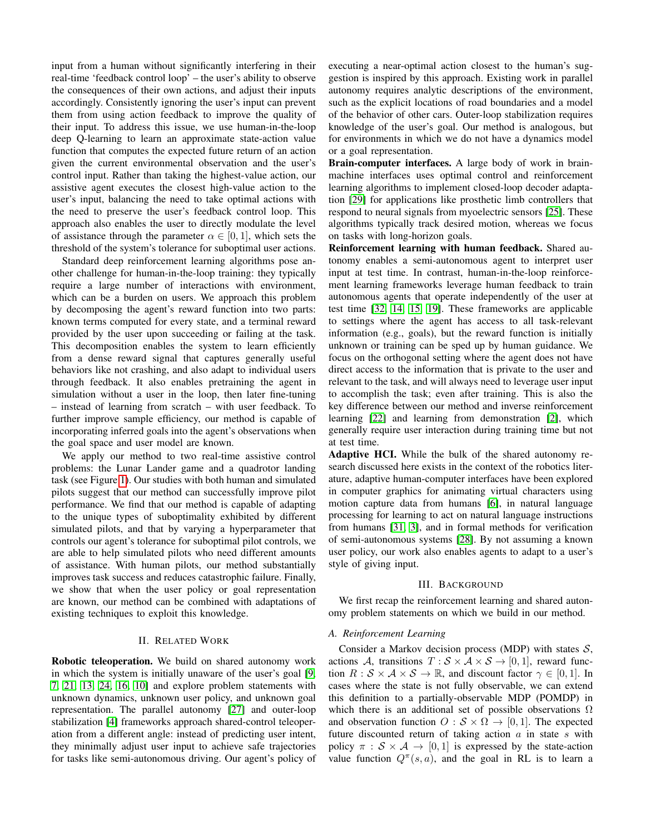input from a human without significantly interfering in their real-time 'feedback control loop' – the user's ability to observe the consequences of their own actions, and adjust their inputs accordingly. Consistently ignoring the user's input can prevent them from using action feedback to improve the quality of their input. To address this issue, we use human-in-the-loop deep Q-learning to learn an approximate state-action value function that computes the expected future return of an action given the current environmental observation and the user's control input. Rather than taking the highest-value action, our assistive agent executes the closest high-value action to the user's input, balancing the need to take optimal actions with the need to preserve the user's feedback control loop. This approach also enables the user to directly modulate the level of assistance through the parameter  $\alpha \in [0, 1]$ , which sets the threshold of the system's tolerance for suboptimal user actions.

Standard deep reinforcement learning algorithms pose another challenge for human-in-the-loop training: they typically require a large number of interactions with environment, which can be a burden on users. We approach this problem by decomposing the agent's reward function into two parts: known terms computed for every state, and a terminal reward provided by the user upon succeeding or failing at the task. This decomposition enables the system to learn efficiently from a dense reward signal that captures generally useful behaviors like not crashing, and also adapt to individual users through feedback. It also enables pretraining the agent in simulation without a user in the loop, then later fine-tuning – instead of learning from scratch – with user feedback. To further improve sample efficiency, our method is capable of incorporating inferred goals into the agent's observations when the goal space and user model are known.

We apply our method to two real-time assistive control problems: the Lunar Lander game and a quadrotor landing task (see Figure [1\)](#page-0-0). Our studies with both human and simulated pilots suggest that our method can successfully improve pilot performance. We find that our method is capable of adapting to the unique types of suboptimality exhibited by different simulated pilots, and that by varying a hyperparameter that controls our agent's tolerance for suboptimal pilot controls, we are able to help simulated pilots who need different amounts of assistance. With human pilots, our method substantially improves task success and reduces catastrophic failure. Finally, we show that when the user policy or goal representation are known, our method can be combined with adaptations of existing techniques to exploit this knowledge.

#### II. RELATED WORK

Robotic teleoperation. We build on shared autonomy work in which the system is initially unaware of the user's goal [\[9,](#page-8-7) [7,](#page-8-8) [21,](#page-8-2) [13,](#page-8-3) [24,](#page-8-4) [16,](#page-8-5) [10\]](#page-8-6) and explore problem statements with unknown dynamics, unknown user policy, and unknown goal representation. The parallel autonomy [\[27\]](#page-9-0) and outer-loop stabilization [\[4\]](#page-8-9) frameworks approach shared-control teleoperation from a different angle: instead of predicting user intent, they minimally adjust user input to achieve safe trajectories for tasks like semi-autonomous driving. Our agent's policy of executing a near-optimal action closest to the human's suggestion is inspired by this approach. Existing work in parallel autonomy requires analytic descriptions of the environment, such as the explicit locations of road boundaries and a model of the behavior of other cars. Outer-loop stabilization requires knowledge of the user's goal. Our method is analogous, but for environments in which we do not have a dynamics model or a goal representation.

Brain-computer interfaces. A large body of work in brainmachine interfaces uses optimal control and reinforcement learning algorithms to implement closed-loop decoder adaptation [\[29\]](#page-9-1) for applications like prosthetic limb controllers that respond to neural signals from myoelectric sensors [\[25\]](#page-8-10). These algorithms typically track desired motion, whereas we focus on tasks with long-horizon goals.

Reinforcement learning with human feedback. Shared autonomy enables a semi-autonomous agent to interpret user input at test time. In contrast, human-in-the-loop reinforcement learning frameworks leverage human feedback to train autonomous agents that operate independently of the user at test time [\[32,](#page-9-2) [14,](#page-8-11) [15,](#page-8-12) [19\]](#page-8-13). These frameworks are applicable to settings where the agent has access to all task-relevant information (e.g., goals), but the reward function is initially unknown or training can be sped up by human guidance. We focus on the orthogonal setting where the agent does not have direct access to the information that is private to the user and relevant to the task, and will always need to leverage user input to accomplish the task; even after training. This is also the key difference between our method and inverse reinforcement learning [\[22\]](#page-8-14) and learning from demonstration [\[2\]](#page-8-15), which generally require user interaction during training time but not at test time.

Adaptive HCI. While the bulk of the shared autonomy research discussed here exists in the context of the robotics literature, adaptive human-computer interfaces have been explored in computer graphics for animating virtual characters using motion capture data from humans [\[6\]](#page-8-16), in natural language processing for learning to act on natural language instructions from humans [\[31,](#page-9-3) [3\]](#page-8-17), and in formal methods for verification of semi-autonomous systems [\[28\]](#page-9-4). By not assuming a known user policy, our work also enables agents to adapt to a user's style of giving input.

#### III. BACKGROUND

We first recap the reinforcement learning and shared autonomy problem statements on which we build in our method.

#### *A. Reinforcement Learning*

Consider a Markov decision process (MDP) with states  $S$ , actions A, transitions  $T : \mathcal{S} \times \mathcal{A} \times \mathcal{S} \rightarrow [0, 1]$ , reward function  $R : S \times A \times S \rightarrow \mathbb{R}$ , and discount factor  $\gamma \in [0, 1]$ . In cases where the state is not fully observable, we can extend this definition to a partially-observable MDP (POMDP) in which there is an additional set of possible observations  $\Omega$ and observation function  $O : \mathcal{S} \times \Omega \rightarrow [0, 1]$ . The expected future discounted return of taking action  $a$  in state  $s$  with policy  $\pi : \mathcal{S} \times \mathcal{A} \rightarrow [0, 1]$  is expressed by the state-action value function  $Q^{\pi}(s, a)$ , and the goal in RL is to learn a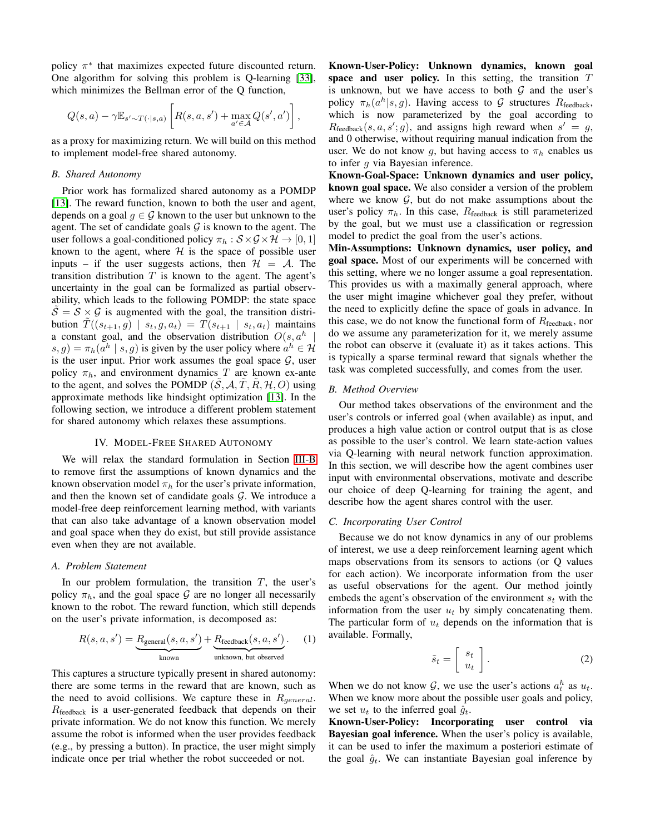policy  $\pi^*$  that maximizes expected future discounted return. One algorithm for solving this problem is Q-learning [\[33\]](#page-9-5), which minimizes the Bellman error of the Q function,

$$
Q(s, a) - \gamma \mathbb{E}_{s' \sim T(\cdot | s, a)} \left[ R(s, a, s') + \max_{a' \in \mathcal{A}} Q(s', a') \right],
$$

as a proxy for maximizing return. We will build on this method to implement model-free shared autonomy.

## <span id="page-2-0"></span>*B. Shared Autonomy*

Prior work has formalized shared autonomy as a POMDP [\[13\]](#page-8-3). The reward function, known to both the user and agent, depends on a goal  $q \in \mathcal{G}$  known to the user but unknown to the agent. The set of candidate goals  $\mathcal G$  is known to the agent. The user follows a goal-conditioned policy  $\pi_h : \mathcal{S} \times \mathcal{G} \times \mathcal{H} \rightarrow [0, 1]$ known to the agent, where  $H$  is the space of possible user inputs – if the user suggests actions, then  $\mathcal{H} = \mathcal{A}$ . The transition distribution  $T$  is known to the agent. The agent's uncertainty in the goal can be formalized as partial observability, which leads to the following POMDP: the state space  $\mathcal{S} = \mathcal{S} \times \mathcal{G}$  is augmented with the goal, the transition distribution  $\tilde{T}((s_{t+1}, g) | s_t, g, a_t) = T(s_{t+1} | s_t, a_t)$  maintains a constant goal, and the observation distribution  $O(s, a^h)$ |  $(s, g) = \pi_h(a^h \mid s, g)$  is given by the user policy where  $a^h \in \mathcal{H}$ is the user input. Prior work assumes the goal space  $G$ , user policy  $\pi_h$ , and environment dynamics T are known ex-ante to the agent, and solves the POMDP  $(\tilde{S}, A, \tilde{T}, \tilde{R}, \mathcal{H}, O)$  using approximate methods like hindsight optimization [\[13\]](#page-8-3). In the following section, we introduce a different problem statement for shared autonomy which relaxes these assumptions.

#### IV. MODEL-FREE SHARED AUTONOMY

<span id="page-2-1"></span>We will relax the standard formulation in Section [III-B](#page-2-0) to remove first the assumptions of known dynamics and the known observation model  $\pi_h$  for the user's private information, and then the known set of candidate goals  $G$ . We introduce a model-free deep reinforcement learning method, with variants that can also take advantage of a known observation model and goal space when they do exist, but still provide assistance even when they are not available.

## *A. Problem Statement*

In our problem formulation, the transition  $T$ , the user's policy  $\pi_h$ , and the goal space G are no longer all necessarily known to the robot. The reward function, which still depends on the user's private information, is decomposed as:

$$
R(s, a, s') = \underbrace{R_{\text{general}}(s, a, s')}_{\text{known}} + \underbrace{R_{\text{feedback}}(s, a, s')}_{\text{unknown, but observed}}.
$$
 (1)

This captures a structure typically present in shared autonomy: there are some terms in the reward that are known, such as the need to avoid collisions. We capture these in  $R_{general}$ .  $R_{\text{feedback}}$  is a user-generated feedback that depends on their private information. We do not know this function. We merely assume the robot is informed when the user provides feedback (e.g., by pressing a button). In practice, the user might simply indicate once per trial whether the robot succeeded or not.

Known-User-Policy: Unknown dynamics, known goal space and user policy. In this setting, the transition  $T$ is unknown, but we have access to both  $G$  and the user's policy  $\pi_h(a^h|s, g)$ . Having access to G structures  $R_{\text{feedback}}$ , which is now parameterized by the goal according to  $R_{\text{feedback}}(s, a, s'; g)$ , and assigns high reward when  $s' = g$ , and 0 otherwise, without requiring manual indication from the user. We do not know g, but having access to  $\pi_h$  enables us to infer q via Bayesian inference.

Known-Goal-Space: Unknown dynamics and user policy, known goal space. We also consider a version of the problem where we know  $G$ , but do not make assumptions about the user's policy  $\pi_h$ . In this case,  $R_{\text{feedback}}$  is still parameterized by the goal, but we must use a classification or regression model to predict the goal from the user's actions.

Min-Assumptions: Unknown dynamics, user policy, and goal space. Most of our experiments will be concerned with this setting, where we no longer assume a goal representation. This provides us with a maximally general approach, where the user might imagine whichever goal they prefer, without the need to explicitly define the space of goals in advance. In this case, we do not know the functional form of  $R_{\text{feedback}}$ , nor do we assume any parameterization for it, we merely assume the robot can observe it (evaluate it) as it takes actions. This is typically a sparse terminal reward that signals whether the task was completed successfully, and comes from the user.

#### *B. Method Overview*

Our method takes observations of the environment and the user's controls or inferred goal (when available) as input, and produces a high value action or control output that is as close as possible to the user's control. We learn state-action values via Q-learning with neural network function approximation. In this section, we will describe how the agent combines user input with environmental observations, motivate and describe our choice of deep Q-learning for training the agent, and describe how the agent shares control with the user.

#### *C. Incorporating User Control*

Because we do not know dynamics in any of our problems of interest, we use a deep reinforcement learning agent which maps observations from its sensors to actions (or Q values for each action). We incorporate information from the user as useful observations for the agent. Our method jointly embeds the agent's observation of the environment  $s_t$  with the information from the user  $u_t$  by simply concatenating them. The particular form of  $u_t$  depends on the information that is available. Formally,

$$
\tilde{s}_t = \left[ \begin{array}{c} s_t \\ u_t \end{array} \right]. \tag{2}
$$

When we do not know  $\mathcal{G}$ , we use the user's actions  $a_t^h$  as  $u_t$ . When we know more about the possible user goals and policy, we set  $u_t$  to the inferred goal  $\hat{g}_t$ .

Known-User-Policy: Incorporating user control via Bayesian goal inference. When the user's policy is available, it can be used to infer the maximum a posteriori estimate of the goal  $\hat{g}_t$ . We can instantiate Bayesian goal inference by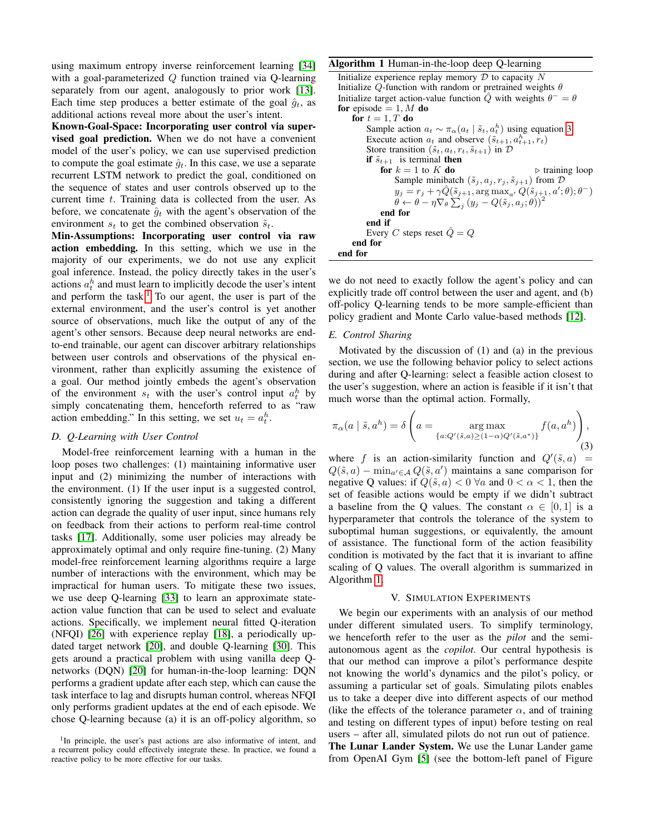using maximum entropy inverse reinforcement learning [\[34\]](#page-9-6) with a goal-parameterized Q function trained via Q-learning separately from our agent, analogously to prior work [\[13\]](#page-8-3). Each time step produces a better estimate of the goal  $\hat{q}_t$ , as additional actions reveal more about the user's intent.

Known-Goal-Space: Incorporating user control via supervised goal prediction. When we do not have a convenient model of the user's policy, we can use supervised prediction to compute the goal estimate  $\hat{q}_t$ . In this case, we use a separate recurrent LSTM network to predict the goal, conditioned on the sequence of states and user controls observed up to the current time t. Training data is collected from the user. As before, we concatenate  $\hat{g}_t$  with the agent's observation of the environment  $s_t$  to get the combined observation  $\tilde{s}_t$ .

Min-Assumptions: Incorporating user control via raw action embedding. In this setting, which we use in the majority of our experiments, we do not use any explicit goal inference. Instead, the policy directly takes in the user's actions  $a_t^h$  and must learn to implicitly decode the user's intent and perform the task.<sup>[1](#page-3-0)</sup> To our agent, the user is part of the external environment, and the user's control is yet another source of observations, much like the output of any of the agent's other sensors. Because deep neural networks are endto-end trainable, our agent can discover arbitrary relationships between user controls and observations of the physical environment, rather than explicitly assuming the existence of a goal. Our method jointly embeds the agent's observation of the environment  $s_t$  with the user's control input  $a_t^h$  by simply concatenating them, henceforth referred to as "raw action embedding." In this setting, we set  $u_t = a_t^h$ .

## *D. Q-Learning with User Control*

Model-free reinforcement learning with a human in the loop poses two challenges: (1) maintaining informative user input and (2) minimizing the number of interactions with the environment. (1) If the user input is a suggested control, consistently ignoring the suggestion and taking a different action can degrade the quality of user input, since humans rely on feedback from their actions to perform real-time control tasks [\[17\]](#page-8-18). Additionally, some user policies may already be approximately optimal and only require fine-tuning. (2) Many model-free reinforcement learning algorithms require a large number of interactions with the environment, which may be impractical for human users. To mitigate these two issues, we use deep Q-learning [\[33\]](#page-9-5) to learn an approximate stateaction value function that can be used to select and evaluate actions. Specifically, we implement neural fitted Q-iteration (NFQI) [\[26\]](#page-8-19) with experience replay [\[18\]](#page-8-20), a periodically updated target network [\[20\]](#page-8-21), and double Q-learning [\[30\]](#page-9-7). This gets around a practical problem with using vanilla deep Qnetworks (DQN) [\[20\]](#page-8-21) for human-in-the-loop learning: DQN performs a gradient update after each step, which can cause the task interface to lag and disrupts human control, whereas NFQI only performs gradient updates at the end of each episode. We chose Q-learning because (a) it is an off-policy algorithm, so

#### Algorithm 1 Human-in-the-loop deep Q-learning

```
Initialize experience replay memory \overline{\mathcal{D}} to capacity \overline{N}Initialize Q-function with random or pretrained weights \thetaInitialize target action-value function \hat{Q} with weights \theta^{-} = \thetafor episode = 1, M do
     for t = 1, T do
          Sample action a_t \sim \pi_\alpha(a_t \mid \tilde{s}_t, a_t^h) 3
          Execute action a_t and observe (\tilde{s}_{t+1}, a_{t+1}^h, r_t)Store transition (\tilde{s}_t, a_t, r_t, \tilde{s}_{t+1}) in Dif \tilde{s}_{t+1} is terminal then
               for k = 1 to K do \triangleright training loop
                    Sample minibatch (\tilde{s}_j, a_j, r_j, \tilde{s}_{j+1}) from Dy_j = r_j + \gamma \hat{Q}(\tilde{s}_{j+1}, \argmax_{a'} Q(\tilde{s}_{j+1}, a'; \theta); \theta^{-})\hat{\theta} \leftarrow \hat{\theta} - \eta \nabla_{\theta} \sum_{j} \left(y_j - Q(\widetilde{s}_j, a_j; \theta)\right)^2end for
          end if
          Every C steps reset \hat{Q} = Qend for
end for
```
<span id="page-3-2"></span>we do not need to exactly follow the agent's policy and can explicitly trade off control between the user and agent, and (b) off-policy Q-learning tends to be more sample-efficient than policy gradient and Monte Carlo value-based methods [\[12\]](#page-8-22).

#### *E. Control Sharing*

Motivated by the discussion of (1) and (a) in the previous section, we use the following behavior policy to select actions during and after Q-learning: select a feasible action closest to the user's suggestion, where an action is feasible if it isn't that much worse than the optimal action. Formally,

<span id="page-3-1"></span>
$$
\pi_{\alpha}(a \mid \tilde{s}, a^{h}) = \delta\left(a = \underset{\{a: Q'(\tilde{s}, a) \ge (1-\alpha)Q'(\tilde{s}, a^{*})\}}{\arg \max} f(a, a^{h})\right),\tag{3}
$$

where f is an action-similarity function and  $Q'(\tilde{s}, a)$  =  $Q(\tilde{s}, a) - \min_{a' \in \mathcal{A}} Q(\tilde{s}, a')$  maintains a sane comparison for negative Q values: if  $Q(\tilde{s}, a) < 0 \ \forall a$  and  $0 < \alpha < 1$ , then the set of feasible actions would be empty if we didn't subtract a baseline from the Q values. The constant  $\alpha \in [0, 1]$  is a hyperparameter that controls the tolerance of the system to suboptimal human suggestions, or equivalently, the amount of assistance. The functional form of the action feasibility condition is motivated by the fact that it is invariant to affine scaling of Q values. The overall algorithm is summarized in Algorithm [1.](#page-3-2)

#### V. SIMULATION EXPERIMENTS

We begin our experiments with an analysis of our method under different simulated users. To simplify terminology, we henceforth refer to the user as the *pilot* and the semiautonomous agent as the *copilot*. Our central hypothesis is that our method can improve a pilot's performance despite not knowing the world's dynamics and the pilot's policy, or assuming a particular set of goals. Simulating pilots enables us to take a deeper dive into different aspects of our method (like the effects of the tolerance parameter  $\alpha$ , and of training and testing on different types of input) before testing on real users – after all, simulated pilots do not run out of patience. The Lunar Lander System. We use the Lunar Lander game from OpenAI Gym [\[5\]](#page-8-23) (see the bottom-left panel of Figure

<span id="page-3-0"></span><sup>&</sup>lt;sup>1</sup>In principle, the user's past actions are also informative of intent, and a recurrent policy could effectively integrate these. In practice, we found a reactive policy to be more effective for our tasks.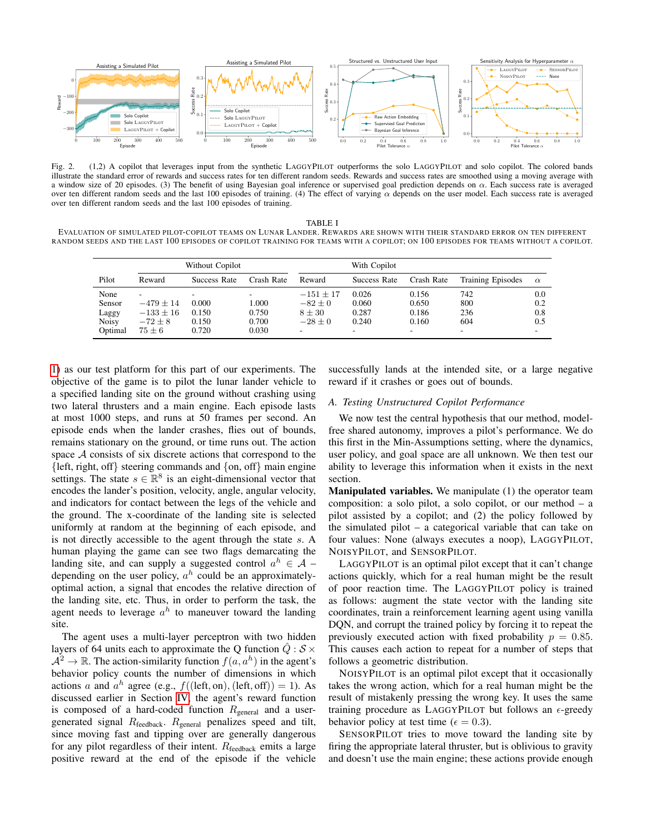

Fig. 2. (1,2) A copilot that leverages input from the synthetic LAGGYPILOT outperforms the solo LAGGYPILOT and solo copilot. The colored bands illustrate the standard error of rewards and success rates for ten different random seeds. Rewards and success rates are smoothed using a moving average with a window size of 20 episodes. (3) The benefit of using Bayesian goal inference or supervised goal prediction depends on  $\alpha$ . Each success rate is averaged over ten different random seeds and the last 100 episodes of training. (4) The effect of varying  $\alpha$  depends on the user model. Each success rate is averaged over ten different random seeds and the last 100 episodes of training.

#### <span id="page-4-0"></span>TABLE I

<span id="page-4-1"></span>EVALUATION OF SIMULATED PILOT-COPILOT TEAMS ON LUNAR LANDER. REWARDS ARE SHOWN WITH THEIR STANDARD ERROR ON TEN DIFFERENT RANDOM SEEDS AND THE LAST 100 EPISODES OF COPILOT TRAINING FOR TEAMS WITH A COPILOT; ON 100 EPISODES FOR TEAMS WITHOUT A COPILOT.

|                         | Without Copilot                           |                |                | With Copilot                          |                |                                   |                          |            |
|-------------------------|-------------------------------------------|----------------|----------------|---------------------------------------|----------------|-----------------------------------|--------------------------|------------|
| Pilot                   | Reward                                    | Success Rate   | Crash Rate     | Reward                                | Success Rate   | Crash Rate                        | <b>Training Episodes</b> | $\alpha$   |
| None<br>Sensor          | $\overline{\phantom{a}}$<br>$-479 \pm 14$ | 0.000          | 1.000          | $-151 \pm 17$<br>$-82 \pm 0$          | 0.026<br>0.060 | 0.156<br>0.650                    | 742<br>800               | 0.0<br>0.2 |
| Laggy                   | $-133 \pm 16$                             | 0.150          | 0.750          | $8 \pm 30$                            | 0.287          | 0.186                             | 236                      | 0.8        |
| <b>Noisy</b><br>Optimal | $-72 \pm 8$<br>$75 \pm 6$                 | 0.150<br>0.720 | 0.700<br>0.030 | $-28 + 0$<br>$\overline{\phantom{a}}$ | 0.240<br>۰.    | 0.160<br>$\overline{\phantom{a}}$ | 604                      | 0.5<br>۰.  |

[1\)](#page-0-0) as our test platform for this part of our experiments. The objective of the game is to pilot the lunar lander vehicle to a specified landing site on the ground without crashing using two lateral thrusters and a main engine. Each episode lasts at most 1000 steps, and runs at 50 frames per second. An episode ends when the lander crashes, flies out of bounds, remains stationary on the ground, or time runs out. The action space A consists of six discrete actions that correspond to the  $\{left, right, off\}$  steering commands and  $\{on, off\}$  main engine settings. The state  $s \in \mathbb{R}^8$  is an eight-dimensional vector that encodes the lander's position, velocity, angle, angular velocity, and indicators for contact between the legs of the vehicle and the ground. The x-coordinate of the landing site is selected uniformly at random at the beginning of each episode, and is not directly accessible to the agent through the state s. A human playing the game can see two flags demarcating the landing site, and can supply a suggested control  $a^h \in \mathcal{A}$  – depending on the user policy,  $a^h$  could be an approximatelyoptimal action, a signal that encodes the relative direction of the landing site, etc. Thus, in order to perform the task, the agent needs to leverage  $a^h$  to maneuver toward the landing site.

The agent uses a multi-layer perceptron with two hidden layers of 64 units each to approximate the Q function  $\hat{Q}: \mathcal{S} \times$  $A^2 \to \mathbb{R}$ . The action-similarity function  $f(a, a^h)$  in the agent's behavior policy counts the number of dimensions in which actions a and  $a^h$  agree (e.g.,  $f((\text{left}, \text{on}), (\text{left}, \text{off})) = 1)$ ). As discussed earlier in Section [IV,](#page-2-1) the agent's reward function is composed of a hard-coded function  $R_{\text{general}}$  and a usergenerated signal  $R_{\text{feedback}}$ .  $R_{\text{general}}$  penalizes speed and tilt, since moving fast and tipping over are generally dangerous for any pilot regardless of their intent.  $R_{\text{feedback}}$  emits a large positive reward at the end of the episode if the vehicle successfully lands at the intended site, or a large negative reward if it crashes or goes out of bounds.

#### *A. Testing Unstructured Copilot Performance*

We now test the central hypothesis that our method, modelfree shared autonomy, improves a pilot's performance. We do this first in the Min-Assumptions setting, where the dynamics, user policy, and goal space are all unknown. We then test our ability to leverage this information when it exists in the next section.

Manipulated variables. We manipulate (1) the operator team composition: a solo pilot, a solo copilot, or our method – a pilot assisted by a copilot; and (2) the policy followed by the simulated pilot – a categorical variable that can take on four values: None (always executes a noop), LAGGYPILOT, NOISYPILOT, and SENSORPILOT.

LAGGYPILOT is an optimal pilot except that it can't change actions quickly, which for a real human might be the result of poor reaction time. The LAGGYPILOT policy is trained as follows: augment the state vector with the landing site coordinates, train a reinforcement learning agent using vanilla DQN, and corrupt the trained policy by forcing it to repeat the previously executed action with fixed probability  $p = 0.85$ . This causes each action to repeat for a number of steps that follows a geometric distribution.

NOISYPILOT is an optimal pilot except that it occasionally takes the wrong action, which for a real human might be the result of mistakenly pressing the wrong key. It uses the same training procedure as LAGGYPILOT but follows an  $\epsilon$ -greedy behavior policy at test time ( $\epsilon = 0.3$ ).

SENSORPILOT tries to move toward the landing site by firing the appropriate lateral thruster, but is oblivious to gravity and doesn't use the main engine; these actions provide enough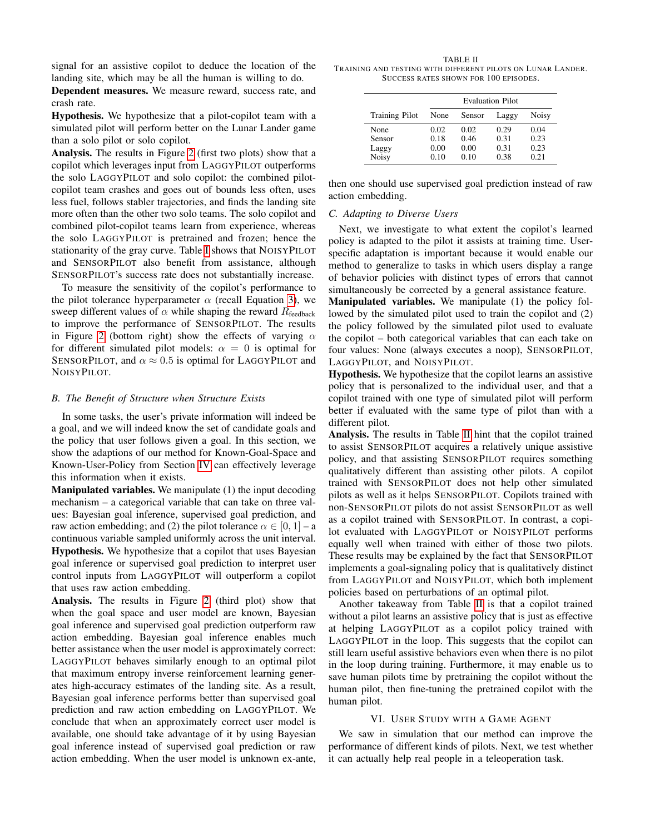signal for an assistive copilot to deduce the location of the landing site, which may be all the human is willing to do.

Dependent measures. We measure reward, success rate, and crash rate.

Hypothesis. We hypothesize that a pilot-copilot team with a simulated pilot will perform better on the Lunar Lander game than a solo pilot or solo copilot.

Analysis. The results in Figure [2](#page-4-0) (first two plots) show that a copilot which leverages input from LAGGYPILOT outperforms the solo LAGGYPILOT and solo copilot: the combined pilotcopilot team crashes and goes out of bounds less often, uses less fuel, follows stabler trajectories, and finds the landing site more often than the other two solo teams. The solo copilot and combined pilot-copilot teams learn from experience, whereas the solo LAGGYPILOT is pretrained and frozen; hence the stationarity of the gray curve. Table [I](#page-4-1) shows that NOISYPILOT and SENSORPILOT also benefit from assistance, although SENSORPILOT's success rate does not substantially increase.

To measure the sensitivity of the copilot's performance to the pilot tolerance hyperparameter  $\alpha$  (recall Equation [3\)](#page-3-1), we sweep different values of  $\alpha$  while shaping the reward  $R_{\text{feedback}}$ to improve the performance of SENSORPILOT. The results in Figure [2](#page-4-0) (bottom right) show the effects of varying  $\alpha$ for different simulated pilot models:  $\alpha = 0$  is optimal for SENSORPILOT, and  $\alpha \approx 0.5$  is optimal for LAGGYPILOT and NOISYPILOT.

#### *B. The Benefit of Structure when Structure Exists*

In some tasks, the user's private information will indeed be a goal, and we will indeed know the set of candidate goals and the policy that user follows given a goal. In this section, we show the adaptions of our method for Known-Goal-Space and Known-User-Policy from Section [IV](#page-2-1) can effectively leverage this information when it exists.

Manipulated variables. We manipulate (1) the input decoding mechanism – a categorical variable that can take on three values: Bayesian goal inference, supervised goal prediction, and raw action embedding; and (2) the pilot tolerance  $\alpha \in [0, 1]$  – a continuous variable sampled uniformly across the unit interval. Hypothesis. We hypothesize that a copilot that uses Bayesian goal inference or supervised goal prediction to interpret user control inputs from LAGGYPILOT will outperform a copilot that uses raw action embedding.

Analysis. The results in Figure [2](#page-4-0) (third plot) show that when the goal space and user model are known, Bayesian goal inference and supervised goal prediction outperform raw action embedding. Bayesian goal inference enables much better assistance when the user model is approximately correct: LAGGYPILOT behaves similarly enough to an optimal pilot that maximum entropy inverse reinforcement learning generates high-accuracy estimates of the landing site. As a result, Bayesian goal inference performs better than supervised goal prediction and raw action embedding on LAGGYPILOT. We conclude that when an approximately correct user model is available, one should take advantage of it by using Bayesian goal inference instead of supervised goal prediction or raw action embedding. When the user model is unknown ex-ante,

<span id="page-5-0"></span>TABLE II TRAINING AND TESTING WITH DIFFERENT PILOTS ON LUNAR LANDER. SUCCESS RATES SHOWN FOR 100 EPISODES.

|                       | <b>Evaluation Pilot</b> |        |       |              |  |  |
|-----------------------|-------------------------|--------|-------|--------------|--|--|
| <b>Training Pilot</b> | None                    | Sensor | Laggy | <b>Noisy</b> |  |  |
| None                  | 0.02                    | 0.02   | 0.29  | 0.04         |  |  |
| Sensor                | 0.18                    | 0.46   | 0.31  | 0.23         |  |  |
| Laggy                 | 0.00                    | 0.00   | 0.31  | 0.23         |  |  |
| <b>Noisy</b>          | 0.10                    | 0.10   | 0.38  | 0.21         |  |  |

then one should use supervised goal prediction instead of raw action embedding.

### *C. Adapting to Diverse Users*

Next, we investigate to what extent the copilot's learned policy is adapted to the pilot it assists at training time. Userspecific adaptation is important because it would enable our method to generalize to tasks in which users display a range of behavior policies with distinct types of errors that cannot simultaneously be corrected by a general assistance feature.

Manipulated variables. We manipulate (1) the policy followed by the simulated pilot used to train the copilot and (2) the policy followed by the simulated pilot used to evaluate the copilot – both categorical variables that can each take on four values: None (always executes a noop), SENSORPILOT, LAGGYPILOT, and NOISYPILOT.

Hypothesis. We hypothesize that the copilot learns an assistive policy that is personalized to the individual user, and that a copilot trained with one type of simulated pilot will perform better if evaluated with the same type of pilot than with a different pilot.

Analysis. The results in Table [II](#page-5-0) hint that the copilot trained to assist SENSORPILOT acquires a relatively unique assistive policy, and that assisting SENSORPILOT requires something qualitatively different than assisting other pilots. A copilot trained with SENSORPILOT does not help other simulated pilots as well as it helps SENSORPILOT. Copilots trained with non-SENSORPILOT pilots do not assist SENSORPILOT as well as a copilot trained with SENSORPILOT. In contrast, a copilot evaluated with LAGGYPILOT or NOISYPILOT performs equally well when trained with either of those two pilots. These results may be explained by the fact that SENSORPILOT implements a goal-signaling policy that is qualitatively distinct from LAGGYPILOT and NOISYPILOT, which both implement policies based on perturbations of an optimal pilot.

Another takeaway from Table [II](#page-5-0) is that a copilot trained without a pilot learns an assistive policy that is just as effective at helping LAGGYPILOT as a copilot policy trained with LAGGYPILOT in the loop. This suggests that the copilot can still learn useful assistive behaviors even when there is no pilot in the loop during training. Furthermore, it may enable us to save human pilots time by pretraining the copilot without the human pilot, then fine-tuning the pretrained copilot with the human pilot.

#### VI. USER STUDY WITH A GAME AGENT

We saw in simulation that our method can improve the performance of different kinds of pilots. Next, we test whether it can actually help real people in a teleoperation task.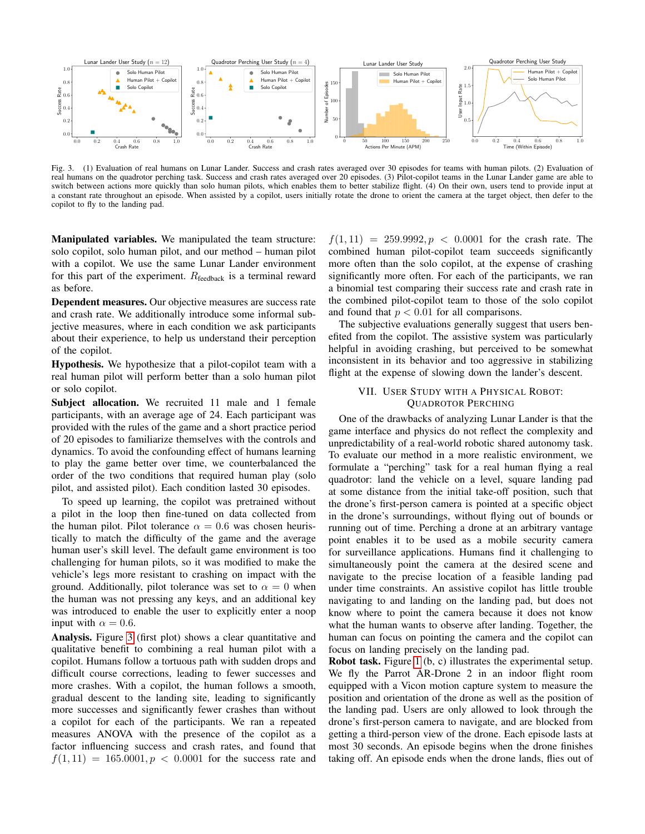

Fig. 3. (1) Evaluation of real humans on Lunar Lander. Success and crash rates averaged over 30 episodes for teams with human pilots. (2) Evaluation of real humans on the quadrotor perching task. Success and crash rates averaged over 20 episodes. (3) Pilot-copilot teams in the Lunar Lander game are able to switch between actions more quickly than solo human pilots, which enables them to better stabilize flight. (4) On their own, users tend to provide input at a constant rate throughout an episode. When assisted by a copilot, users initially rotate the drone to orient the camera at the target object, then defer to the copilot to fly to the landing pad.

Manipulated variables. We manipulated the team structure: solo copilot, solo human pilot, and our method – human pilot with a copilot. We use the same Lunar Lander environment for this part of the experiment.  $R_{\text{feedback}}$  is a terminal reward as before.

Dependent measures. Our objective measures are success rate and crash rate. We additionally introduce some informal subjective measures, where in each condition we ask participants about their experience, to help us understand their perception of the copilot.

Hypothesis. We hypothesize that a pilot-copilot team with a real human pilot will perform better than a solo human pilot or solo copilot.

Subject allocation. We recruited 11 male and 1 female participants, with an average age of 24. Each participant was provided with the rules of the game and a short practice period of 20 episodes to familiarize themselves with the controls and dynamics. To avoid the confounding effect of humans learning to play the game better over time, we counterbalanced the order of the two conditions that required human play (solo pilot, and assisted pilot). Each condition lasted 30 episodes.

To speed up learning, the copilot was pretrained without a pilot in the loop then fine-tuned on data collected from the human pilot. Pilot tolerance  $\alpha = 0.6$  was chosen heuristically to match the difficulty of the game and the average human user's skill level. The default game environment is too challenging for human pilots, so it was modified to make the vehicle's legs more resistant to crashing on impact with the ground. Additionally, pilot tolerance was set to  $\alpha = 0$  when the human was not pressing any keys, and an additional key was introduced to enable the user to explicitly enter a noop input with  $\alpha = 0.6$ .

Analysis. Figure [3](#page-6-0) (first plot) shows a clear quantitative and qualitative benefit to combining a real human pilot with a copilot. Humans follow a tortuous path with sudden drops and difficult course corrections, leading to fewer successes and more crashes. With a copilot, the human follows a smooth, gradual descent to the landing site, leading to significantly more successes and significantly fewer crashes than without a copilot for each of the participants. We ran a repeated measures ANOVA with the presence of the copilot as a factor influencing success and crash rates, and found that  $f(1, 11) = 165.0001, p < 0.0001$  for the success rate and

<span id="page-6-0"></span> $f(1, 11) = 259.9992, p < 0.0001$  for the crash rate. The combined human pilot-copilot team succeeds significantly more often than the solo copilot, at the expense of crashing significantly more often. For each of the participants, we ran a binomial test comparing their success rate and crash rate in the combined pilot-copilot team to those of the solo copilot and found that  $p < 0.01$  for all comparisons.

The subjective evaluations generally suggest that users benefited from the copilot. The assistive system was particularly helpful in avoiding crashing, but perceived to be somewhat inconsistent in its behavior and too aggressive in stabilizing flight at the expense of slowing down the lander's descent.

## VII. USER STUDY WITH A PHYSICAL ROBOT: QUADROTOR PERCHING

One of the drawbacks of analyzing Lunar Lander is that the game interface and physics do not reflect the complexity and unpredictability of a real-world robotic shared autonomy task. To evaluate our method in a more realistic environment, we formulate a "perching" task for a real human flying a real quadrotor: land the vehicle on a level, square landing pad at some distance from the initial take-off position, such that the drone's first-person camera is pointed at a specific object in the drone's surroundings, without flying out of bounds or running out of time. Perching a drone at an arbitrary vantage point enables it to be used as a mobile security camera for surveillance applications. Humans find it challenging to simultaneously point the camera at the desired scene and navigate to the precise location of a feasible landing pad under time constraints. An assistive copilot has little trouble navigating to and landing on the landing pad, but does not know where to point the camera because it does not know what the human wants to observe after landing. Together, the human can focus on pointing the camera and the copilot can focus on landing precisely on the landing pad.

Robot task. Figure [1](#page-0-0) (b, c) illustrates the experimental setup. We fly the Parrot AR-Drone 2 in an indoor flight room equipped with a Vicon motion capture system to measure the position and orientation of the drone as well as the position of the landing pad. Users are only allowed to look through the drone's first-person camera to navigate, and are blocked from getting a third-person view of the drone. Each episode lasts at most 30 seconds. An episode begins when the drone finishes taking off. An episode ends when the drone lands, flies out of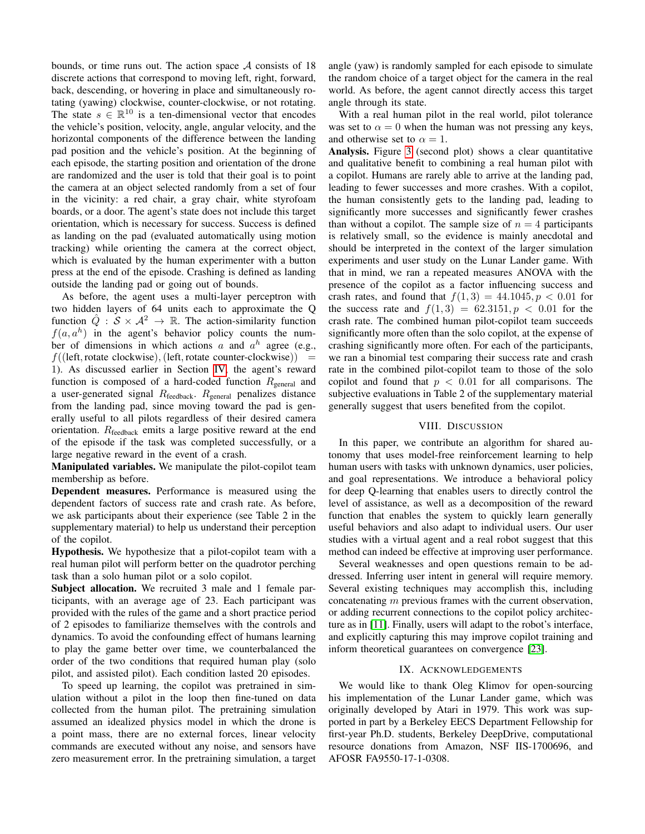bounds, or time runs out. The action space  $A$  consists of 18 discrete actions that correspond to moving left, right, forward, back, descending, or hovering in place and simultaneously rotating (yawing) clockwise, counter-clockwise, or not rotating. The state  $s \in \mathbb{R}^{10}$  is a ten-dimensional vector that encodes the vehicle's position, velocity, angle, angular velocity, and the horizontal components of the difference between the landing pad position and the vehicle's position. At the beginning of each episode, the starting position and orientation of the drone are randomized and the user is told that their goal is to point the camera at an object selected randomly from a set of four in the vicinity: a red chair, a gray chair, white styrofoam boards, or a door. The agent's state does not include this target orientation, which is necessary for success. Success is defined as landing on the pad (evaluated automatically using motion tracking) while orienting the camera at the correct object, which is evaluated by the human experimenter with a button press at the end of the episode. Crashing is defined as landing outside the landing pad or going out of bounds.

As before, the agent uses a multi-layer perceptron with two hidden layers of 64 units each to approximate the Q function  $\hat{Q}: \mathcal{S} \times \mathcal{A}^2 \to \mathbb{R}$ . The action-similarity function  $f(a, a^h)$  in the agent's behavior policy counts the number of dimensions in which actions a and  $a^h$  agree (e.g.,  $f((left, rotate clockwise), (left, rotate counterclockwise))$ 1). As discussed earlier in Section [IV,](#page-2-1) the agent's reward function is composed of a hard-coded function  $R_{\text{general}}$  and a user-generated signal  $R_{\text{feedback}}$ .  $R_{\text{general}}$  penalizes distance from the landing pad, since moving toward the pad is generally useful to all pilots regardless of their desired camera orientation.  $R_{\text{feedback}}$  emits a large positive reward at the end of the episode if the task was completed successfully, or a large negative reward in the event of a crash.

Manipulated variables. We manipulate the pilot-copilot team membership as before.

Dependent measures. Performance is measured using the dependent factors of success rate and crash rate. As before, we ask participants about their experience (see Table 2 in the supplementary material) to help us understand their perception of the copilot.

Hypothesis. We hypothesize that a pilot-copilot team with a real human pilot will perform better on the quadrotor perching task than a solo human pilot or a solo copilot.

Subject allocation. We recruited 3 male and 1 female participants, with an average age of 23. Each participant was provided with the rules of the game and a short practice period of 2 episodes to familiarize themselves with the controls and dynamics. To avoid the confounding effect of humans learning to play the game better over time, we counterbalanced the order of the two conditions that required human play (solo pilot, and assisted pilot). Each condition lasted 20 episodes.

To speed up learning, the copilot was pretrained in simulation without a pilot in the loop then fine-tuned on data collected from the human pilot. The pretraining simulation assumed an idealized physics model in which the drone is a point mass, there are no external forces, linear velocity commands are executed without any noise, and sensors have zero measurement error. In the pretraining simulation, a target

angle (yaw) is randomly sampled for each episode to simulate the random choice of a target object for the camera in the real world. As before, the agent cannot directly access this target angle through its state.

With a real human pilot in the real world, pilot tolerance was set to  $\alpha = 0$  when the human was not pressing any keys, and otherwise set to  $\alpha = 1$ .

Analysis. Figure [3](#page-6-0) (second plot) shows a clear quantitative and qualitative benefit to combining a real human pilot with a copilot. Humans are rarely able to arrive at the landing pad, leading to fewer successes and more crashes. With a copilot, the human consistently gets to the landing pad, leading to significantly more successes and significantly fewer crashes than without a copilot. The sample size of  $n = 4$  participants is relatively small, so the evidence is mainly anecdotal and should be interpreted in the context of the larger simulation experiments and user study on the Lunar Lander game. With that in mind, we ran a repeated measures ANOVA with the presence of the copilot as a factor influencing success and crash rates, and found that  $f(1,3) = 44.1045, p < 0.01$  for the success rate and  $f(1, 3) = 62.3151, p < 0.01$  for the crash rate. The combined human pilot-copilot team succeeds significantly more often than the solo copilot, at the expense of crashing significantly more often. For each of the participants, we ran a binomial test comparing their success rate and crash rate in the combined pilot-copilot team to those of the solo copilot and found that  $p < 0.01$  for all comparisons. The subjective evaluations in Table 2 of the supplementary material generally suggest that users benefited from the copilot.

#### VIII. DISCUSSION

In this paper, we contribute an algorithm for shared autonomy that uses model-free reinforcement learning to help human users with tasks with unknown dynamics, user policies, and goal representations. We introduce a behavioral policy for deep Q-learning that enables users to directly control the level of assistance, as well as a decomposition of the reward function that enables the system to quickly learn generally useful behaviors and also adapt to individual users. Our user studies with a virtual agent and a real robot suggest that this method can indeed be effective at improving user performance.

Several weaknesses and open questions remain to be addressed. Inferring user intent in general will require memory. Several existing techniques may accomplish this, including concatenating m previous frames with the current observation, or adding recurrent connections to the copilot policy architecture as in [\[11\]](#page-8-24). Finally, users will adapt to the robot's interface, and explicitly capturing this may improve copilot training and inform theoretical guarantees on convergence [\[23\]](#page-8-25).

#### IX. ACKNOWLEDGEMENTS

We would like to thank Oleg Klimov for open-sourcing his implementation of the Lunar Lander game, which was originally developed by Atari in 1979. This work was supported in part by a Berkeley EECS Department Fellowship for first-year Ph.D. students, Berkeley DeepDrive, computational resource donations from Amazon, NSF IIS-1700696, and AFOSR FA9550-17-1-0308.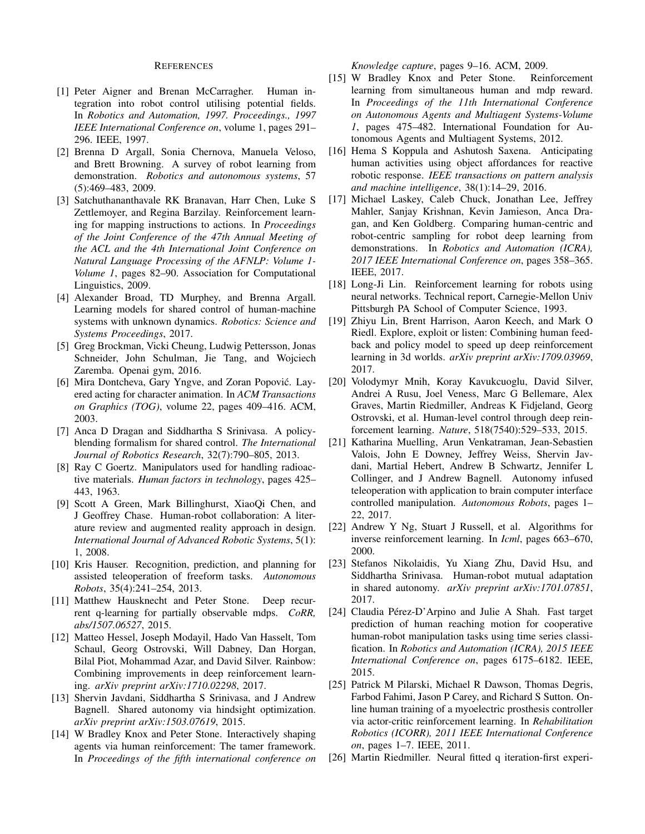#### REFERENCES

- <span id="page-8-1"></span>[1] Peter Aigner and Brenan McCarragher. Human integration into robot control utilising potential fields. In *Robotics and Automation, 1997. Proceedings., 1997 IEEE International Conference on*, volume 1, pages 291– 296. IEEE, 1997.
- <span id="page-8-15"></span>[2] Brenna D Argall, Sonia Chernova, Manuela Veloso, and Brett Browning. A survey of robot learning from demonstration. *Robotics and autonomous systems*, 57 (5):469–483, 2009.
- <span id="page-8-17"></span>[3] Satchuthananthavale RK Branavan, Harr Chen, Luke S Zettlemoyer, and Regina Barzilay. Reinforcement learning for mapping instructions to actions. In *Proceedings of the Joint Conference of the 47th Annual Meeting of the ACL and the 4th International Joint Conference on Natural Language Processing of the AFNLP: Volume 1- Volume 1*, pages 82–90. Association for Computational Linguistics, 2009.
- <span id="page-8-9"></span>[4] Alexander Broad, TD Murphey, and Brenna Argall. Learning models for shared control of human-machine systems with unknown dynamics. *Robotics: Science and Systems Proceedings*, 2017.
- <span id="page-8-23"></span>[5] Greg Brockman, Vicki Cheung, Ludwig Pettersson, Jonas Schneider, John Schulman, Jie Tang, and Wojciech Zaremba. Openai gym, 2016.
- <span id="page-8-16"></span>[6] Mira Dontcheva, Gary Yngve, and Zoran Popovic. Lay- ´ ered acting for character animation. In *ACM Transactions on Graphics (TOG)*, volume 22, pages 409–416. ACM, 2003.
- <span id="page-8-8"></span>[7] Anca D Dragan and Siddhartha S Srinivasa. A policyblending formalism for shared control. *The International Journal of Robotics Research*, 32(7):790–805, 2013.
- <span id="page-8-0"></span>[8] Ray C Goertz. Manipulators used for handling radioactive materials. *Human factors in technology*, pages 425– 443, 1963.
- <span id="page-8-7"></span>[9] Scott A Green, Mark Billinghurst, XiaoQi Chen, and J Geoffrey Chase. Human-robot collaboration: A literature review and augmented reality approach in design. *International Journal of Advanced Robotic Systems*, 5(1): 1, 2008.
- <span id="page-8-6"></span>[10] Kris Hauser. Recognition, prediction, and planning for assisted teleoperation of freeform tasks. *Autonomous Robots*, 35(4):241–254, 2013.
- <span id="page-8-24"></span>[11] Matthew Hausknecht and Peter Stone. Deep recurrent q-learning for partially observable mdps. *CoRR, abs/1507.06527*, 2015.
- <span id="page-8-22"></span>[12] Matteo Hessel, Joseph Modayil, Hado Van Hasselt, Tom Schaul, Georg Ostrovski, Will Dabney, Dan Horgan, Bilal Piot, Mohammad Azar, and David Silver. Rainbow: Combining improvements in deep reinforcement learning. *arXiv preprint arXiv:1710.02298*, 2017.
- <span id="page-8-3"></span>[13] Shervin Javdani, Siddhartha S Srinivasa, and J Andrew Bagnell. Shared autonomy via hindsight optimization. *arXiv preprint arXiv:1503.07619*, 2015.
- <span id="page-8-11"></span>[14] W Bradley Knox and Peter Stone. Interactively shaping agents via human reinforcement: The tamer framework. In *Proceedings of the fifth international conference on*

*Knowledge capture*, pages 9–16. ACM, 2009.

- <span id="page-8-12"></span>[15] W Bradley Knox and Peter Stone. Reinforcement learning from simultaneous human and mdp reward. In *Proceedings of the 11th International Conference on Autonomous Agents and Multiagent Systems-Volume 1*, pages 475–482. International Foundation for Autonomous Agents and Multiagent Systems, 2012.
- <span id="page-8-5"></span>[16] Hema S Koppula and Ashutosh Saxena. Anticipating human activities using object affordances for reactive robotic response. *IEEE transactions on pattern analysis and machine intelligence*, 38(1):14–29, 2016.
- <span id="page-8-18"></span>[17] Michael Laskey, Caleb Chuck, Jonathan Lee, Jeffrey Mahler, Sanjay Krishnan, Kevin Jamieson, Anca Dragan, and Ken Goldberg. Comparing human-centric and robot-centric sampling for robot deep learning from demonstrations. In *Robotics and Automation (ICRA), 2017 IEEE International Conference on*, pages 358–365. IEEE, 2017.
- <span id="page-8-20"></span>[18] Long-Ji Lin. Reinforcement learning for robots using neural networks. Technical report, Carnegie-Mellon Univ Pittsburgh PA School of Computer Science, 1993.
- <span id="page-8-13"></span>[19] Zhiyu Lin, Brent Harrison, Aaron Keech, and Mark O Riedl. Explore, exploit or listen: Combining human feedback and policy model to speed up deep reinforcement learning in 3d worlds. *arXiv preprint arXiv:1709.03969*, 2017.
- <span id="page-8-21"></span>[20] Volodymyr Mnih, Koray Kavukcuoglu, David Silver, Andrei A Rusu, Joel Veness, Marc G Bellemare, Alex Graves, Martin Riedmiller, Andreas K Fidjeland, Georg Ostrovski, et al. Human-level control through deep reinforcement learning. *Nature*, 518(7540):529–533, 2015.
- <span id="page-8-2"></span>[21] Katharina Muelling, Arun Venkatraman, Jean-Sebastien Valois, John E Downey, Jeffrey Weiss, Shervin Javdani, Martial Hebert, Andrew B Schwartz, Jennifer L Collinger, and J Andrew Bagnell. Autonomy infused teleoperation with application to brain computer interface controlled manipulation. *Autonomous Robots*, pages 1– 22, 2017.
- <span id="page-8-14"></span>[22] Andrew Y Ng, Stuart J Russell, et al. Algorithms for inverse reinforcement learning. In *Icml*, pages 663–670, 2000.
- <span id="page-8-25"></span>[23] Stefanos Nikolaidis, Yu Xiang Zhu, David Hsu, and Siddhartha Srinivasa. Human-robot mutual adaptation in shared autonomy. *arXiv preprint arXiv:1701.07851*, 2017.
- <span id="page-8-4"></span>[24] Claudia Pérez-D'Arpino and Julie A Shah. Fast target prediction of human reaching motion for cooperative human-robot manipulation tasks using time series classification. In *Robotics and Automation (ICRA), 2015 IEEE International Conference on*, pages 6175–6182. IEEE, 2015.
- <span id="page-8-10"></span>[25] Patrick M Pilarski, Michael R Dawson, Thomas Degris, Farbod Fahimi, Jason P Carey, and Richard S Sutton. Online human training of a myoelectric prosthesis controller via actor-critic reinforcement learning. In *Rehabilitation Robotics (ICORR), 2011 IEEE International Conference on*, pages 1–7. IEEE, 2011.
- <span id="page-8-19"></span>[26] Martin Riedmiller. Neural fitted q iteration-first experi-